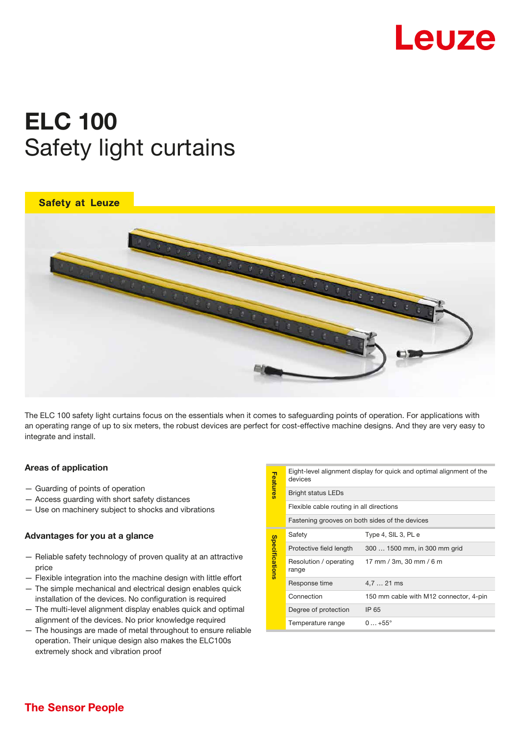

# ELC 100 Safety light curtains





The ELC 100 safety light curtains focus on the essentials when it comes to safeguarding points of operation. For applications with an operating range of up to six meters, the robust devices are perfect for cost-effective machine designs. And they are very easy to integrate and install.

# Areas of application

- Guarding of points of operation
- Access guarding with short safety distances
- Use on machinery subject to shocks and vibrations

#### Advantages for you at a glance

- Reliable safety technology of proven quality at an attractive price
- Flexible integration into the machine design with little effort
- The simple mechanical and electrical design enables quick installation of the devices. No configuration is required
- The multi-level alignment display enables quick and optimal alignment of the devices. No prior knowledge required
- The housings are made of metal throughout to ensure reliable operation. Their unique design also makes the ELC100s extremely shock and vibration proof

| <b>Features</b> | Eight-level alignment display for quick and optimal alignment of the<br>devices |                                        |
|-----------------|---------------------------------------------------------------------------------|----------------------------------------|
|                 | <b>Bright status LEDs</b>                                                       |                                        |
|                 | Flexible cable routing in all directions                                        |                                        |
|                 | Fastening grooves on both sides of the devices                                  |                                        |
| Specifications  | Safety                                                                          | Type 4, SIL 3, PL e                    |
|                 | Protective field length                                                         | 300  1500 mm, in 300 mm grid           |
|                 | Resolution / operating<br>range                                                 | 17 mm / 3m, 30 mm / 6 m                |
|                 | Response time                                                                   | 4,7  21 ms                             |
|                 | Connection                                                                      | 150 mm cable with M12 connector, 4-pin |
|                 | Degree of protection                                                            | IP 65                                  |
|                 | Temperature range                                                               | $0+55^{\circ}$                         |
|                 |                                                                                 |                                        |

# **The Sensor People**